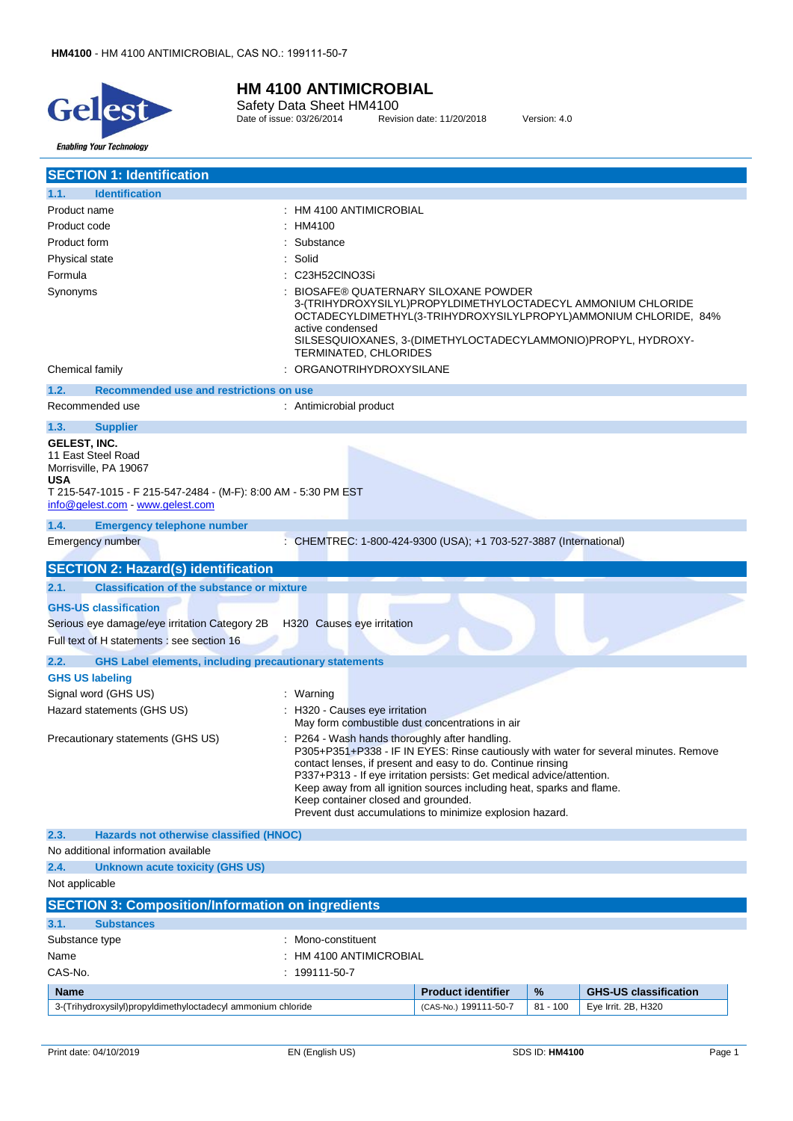

Safety Data Sheet HM4100 Date of issue: 03/26/2014 Revision date: 11/20/2018 Version: 4.0

| <b>SECTION 1: Identification</b>                                                                                                                                                       |                                                                                                                                                                                                                                                                                                                                                                  |                           |            |                                                                                      |
|----------------------------------------------------------------------------------------------------------------------------------------------------------------------------------------|------------------------------------------------------------------------------------------------------------------------------------------------------------------------------------------------------------------------------------------------------------------------------------------------------------------------------------------------------------------|---------------------------|------------|--------------------------------------------------------------------------------------|
| <b>Identification</b><br>1.1.                                                                                                                                                          |                                                                                                                                                                                                                                                                                                                                                                  |                           |            |                                                                                      |
| Product name                                                                                                                                                                           | : HM 4100 ANTIMICROBIAL                                                                                                                                                                                                                                                                                                                                          |                           |            |                                                                                      |
| Product code                                                                                                                                                                           | HM4100                                                                                                                                                                                                                                                                                                                                                           |                           |            |                                                                                      |
| Product form                                                                                                                                                                           | Substance                                                                                                                                                                                                                                                                                                                                                        |                           |            |                                                                                      |
| Physical state                                                                                                                                                                         | Solid                                                                                                                                                                                                                                                                                                                                                            |                           |            |                                                                                      |
| Formula                                                                                                                                                                                | C23H52CINO3Si                                                                                                                                                                                                                                                                                                                                                    |                           |            |                                                                                      |
| Synonyms                                                                                                                                                                               | BIOSAFE® QUATERNARY SILOXANE POWDER<br>3-(TRIHYDROXYSILYL)PROPYLDIMETHYLOCTADECYL AMMONIUM CHLORIDE<br>active condensed<br>SILSESQUIOXANES, 3-(DIMETHYLOCTADECYLAMMONIO)PROPYL, HYDROXY-<br>TERMINATED, CHLORIDES                                                                                                                                                |                           |            | OCTADECYLDIMETHYL(3-TRIHYDROXYSILYLPROPYL)AMMONIUM CHLORIDE, 84%                     |
| Chemical family                                                                                                                                                                        | ORGANOTRIHYDROXYSILANE                                                                                                                                                                                                                                                                                                                                           |                           |            |                                                                                      |
| <b>Recommended use and restrictions on use</b><br>1.2.                                                                                                                                 |                                                                                                                                                                                                                                                                                                                                                                  |                           |            |                                                                                      |
| Recommended use                                                                                                                                                                        | : Antimicrobial product                                                                                                                                                                                                                                                                                                                                          |                           |            |                                                                                      |
| 1.3.<br><b>Supplier</b>                                                                                                                                                                |                                                                                                                                                                                                                                                                                                                                                                  |                           |            |                                                                                      |
| <b>GELEST, INC.</b><br>11 East Steel Road<br>Morrisville, PA 19067<br><b>USA</b><br>T 215-547-1015 - F 215-547-2484 - (M-F): 8:00 AM - 5:30 PM EST<br>info@gelest.com - www.gelest.com |                                                                                                                                                                                                                                                                                                                                                                  |                           |            |                                                                                      |
| 1.4.<br><b>Emergency telephone number</b>                                                                                                                                              |                                                                                                                                                                                                                                                                                                                                                                  |                           |            |                                                                                      |
| <b>Emergency number</b>                                                                                                                                                                | : CHEMTREC: 1-800-424-9300 (USA); +1 703-527-3887 (International)                                                                                                                                                                                                                                                                                                |                           |            |                                                                                      |
| <b>SECTION 2: Hazard(s) identification</b>                                                                                                                                             |                                                                                                                                                                                                                                                                                                                                                                  |                           |            |                                                                                      |
| 2.1.<br><b>Classification of the substance or mixture</b>                                                                                                                              |                                                                                                                                                                                                                                                                                                                                                                  |                           |            |                                                                                      |
| <b>GHS-US classification</b>                                                                                                                                                           |                                                                                                                                                                                                                                                                                                                                                                  |                           |            |                                                                                      |
| Serious eye damage/eye irritation Category 2B                                                                                                                                          | H320 Causes eye irritation                                                                                                                                                                                                                                                                                                                                       |                           |            |                                                                                      |
| Full text of H statements : see section 16                                                                                                                                             |                                                                                                                                                                                                                                                                                                                                                                  |                           |            |                                                                                      |
| <b>GHS Label elements, including precautionary statements</b><br>2.2.                                                                                                                  |                                                                                                                                                                                                                                                                                                                                                                  |                           |            |                                                                                      |
| <b>GHS US labeling</b>                                                                                                                                                                 |                                                                                                                                                                                                                                                                                                                                                                  |                           |            |                                                                                      |
| Signal word (GHS US)                                                                                                                                                                   | : Warning                                                                                                                                                                                                                                                                                                                                                        |                           |            |                                                                                      |
| Hazard statements (GHS US)                                                                                                                                                             | H320 - Causes eye irritation<br>May form combustible dust concentrations in air                                                                                                                                                                                                                                                                                  |                           |            |                                                                                      |
| Precautionary statements (GHS US)                                                                                                                                                      | P264 - Wash hands thoroughly after handling.<br>contact lenses, if present and easy to do. Continue rinsing<br>P337+P313 - If eye irritation persists: Get medical advice/attention.<br>Keep away from all ignition sources including heat, sparks and flame.<br>Keep container closed and grounded.<br>Prevent dust accumulations to minimize explosion hazard. |                           |            | P305+P351+P338 - IF IN EYES: Rinse cautiously with water for several minutes. Remove |
| 2.3.<br>Hazards not otherwise classified (HNOC)                                                                                                                                        |                                                                                                                                                                                                                                                                                                                                                                  |                           |            |                                                                                      |
| No additional information available                                                                                                                                                    |                                                                                                                                                                                                                                                                                                                                                                  |                           |            |                                                                                      |
| 2.4.<br>Unknown acute toxicity (GHS US)                                                                                                                                                |                                                                                                                                                                                                                                                                                                                                                                  |                           |            |                                                                                      |
| Not applicable                                                                                                                                                                         |                                                                                                                                                                                                                                                                                                                                                                  |                           |            |                                                                                      |
| <b>SECTION 3: Composition/Information on ingredients</b>                                                                                                                               |                                                                                                                                                                                                                                                                                                                                                                  |                           |            |                                                                                      |
| 3.1.<br><b>Substances</b>                                                                                                                                                              |                                                                                                                                                                                                                                                                                                                                                                  |                           |            |                                                                                      |
| Substance type                                                                                                                                                                         | Mono-constituent                                                                                                                                                                                                                                                                                                                                                 |                           |            |                                                                                      |
| Name                                                                                                                                                                                   | HM 4100 ANTIMICROBIAL                                                                                                                                                                                                                                                                                                                                            |                           |            |                                                                                      |
| CAS-No.                                                                                                                                                                                | 199111-50-7                                                                                                                                                                                                                                                                                                                                                      |                           |            |                                                                                      |
| <b>Name</b>                                                                                                                                                                            |                                                                                                                                                                                                                                                                                                                                                                  | <b>Product identifier</b> | %          | <b>GHS-US classification</b>                                                         |
| 3-(Trihydroxysilyl)propyldimethyloctadecyl ammonium chloride                                                                                                                           |                                                                                                                                                                                                                                                                                                                                                                  | (CAS-No.) 199111-50-7     | $81 - 100$ | Eye Irrit. 2B, H320                                                                  |
|                                                                                                                                                                                        |                                                                                                                                                                                                                                                                                                                                                                  |                           |            |                                                                                      |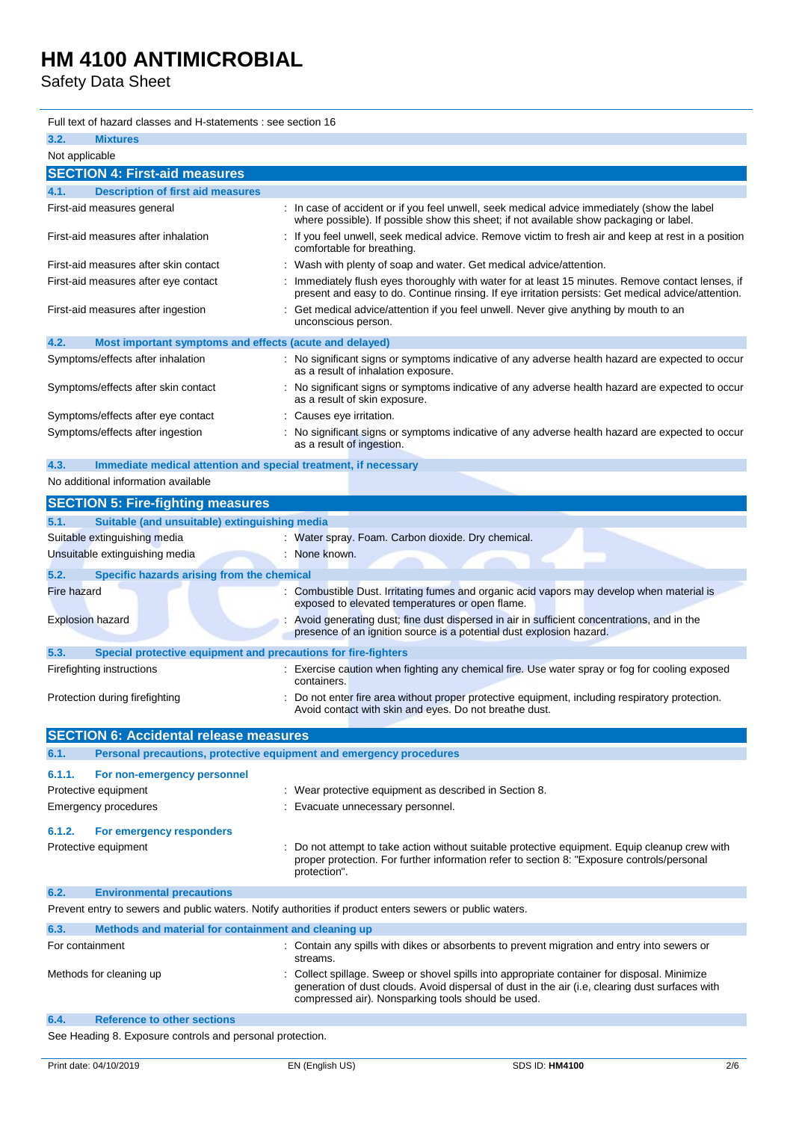Safety Data Sheet

| Full text of hazard classes and H-statements : see section 16           |                                                                                                                                                                                                        |
|-------------------------------------------------------------------------|--------------------------------------------------------------------------------------------------------------------------------------------------------------------------------------------------------|
| 3.2.<br><b>Mixtures</b>                                                 |                                                                                                                                                                                                        |
| Not applicable                                                          |                                                                                                                                                                                                        |
| <b>SECTION 4: First-aid measures</b>                                    |                                                                                                                                                                                                        |
| <b>Description of first aid measures</b><br>4.1.                        |                                                                                                                                                                                                        |
| First-aid measures general                                              | In case of accident or if you feel unwell, seek medical advice immediately (show the label<br>where possible). If possible show this sheet; if not available show packaging or label.                  |
| First-aid measures after inhalation                                     | If you feel unwell, seek medical advice. Remove victim to fresh air and keep at rest in a position<br>comfortable for breathing.                                                                       |
| First-aid measures after skin contact                                   | Wash with plenty of soap and water. Get medical advice/attention.                                                                                                                                      |
| First-aid measures after eye contact                                    | Immediately flush eyes thoroughly with water for at least 15 minutes. Remove contact lenses, if<br>present and easy to do. Continue rinsing. If eye irritation persists: Get medical advice/attention. |
| First-aid measures after ingestion                                      | Get medical advice/attention if you feel unwell. Never give anything by mouth to an<br>unconscious person.                                                                                             |
| 4.2.<br>Most important symptoms and effects (acute and delayed)         |                                                                                                                                                                                                        |
| Symptoms/effects after inhalation                                       | : No significant signs or symptoms indicative of any adverse health hazard are expected to occur<br>as a result of inhalation exposure.                                                                |
| Symptoms/effects after skin contact                                     | No significant signs or symptoms indicative of any adverse health hazard are expected to occur<br>as a result of skin exposure.                                                                        |
| Symptoms/effects after eye contact                                      | Causes eye irritation.                                                                                                                                                                                 |
| Symptoms/effects after ingestion                                        | No significant signs or symptoms indicative of any adverse health hazard are expected to occur<br>as a result of ingestion.                                                                            |
| Immediate medical attention and special treatment, if necessary<br>4.3. |                                                                                                                                                                                                        |
| No additional information available                                     |                                                                                                                                                                                                        |
| <b>SECTION 5: Fire-fighting measures</b>                                |                                                                                                                                                                                                        |
| Suitable (and unsuitable) extinguishing media<br>5.1.                   |                                                                                                                                                                                                        |
| Suitable extinguishing media                                            | Water spray. Foam. Carbon dioxide. Dry chemical.                                                                                                                                                       |
| Unsuitable extinguishing media                                          | None known.                                                                                                                                                                                            |
| 5.2.<br>Specific hazards arising from the chemical                      |                                                                                                                                                                                                        |
| <b>Fire hazard</b>                                                      | Combustible Dust. Irritating fumes and organic acid vapors may develop when material is<br>exposed to elevated temperatures or open flame.                                                             |
| <b>Explosion hazard</b>                                                 | Avoid generating dust; fine dust dispersed in air in sufficient concentrations, and in the<br>presence of an ignition source is a potential dust explosion hazard.                                     |
| 5.3.<br>Special protective equipment and precautions for fire-fighters  |                                                                                                                                                                                                        |
| Firefighting instructions                                               | Exercise caution when fighting any chemical fire. Use water spray or fog for cooling exposed<br>containers.                                                                                            |
| Protection during firefighting                                          | Do not enter fire area without proper protective equipment, including respiratory protection.<br>Avoid contact with skin and eyes. Do not breathe dust.                                                |

|                 | <b>SECTION 6: Accidental release measures</b>                       |                                                                                                                                                                                                                                                     |
|-----------------|---------------------------------------------------------------------|-----------------------------------------------------------------------------------------------------------------------------------------------------------------------------------------------------------------------------------------------------|
| 6.1.            | Personal precautions, protective equipment and emergency procedures |                                                                                                                                                                                                                                                     |
| 6.1.1.          | For non-emergency personnel                                         |                                                                                                                                                                                                                                                     |
|                 | Protective equipment                                                | Wear protective equipment as described in Section 8.                                                                                                                                                                                                |
|                 | Emergency procedures                                                | Evacuate unnecessary personnel.                                                                                                                                                                                                                     |
| 6.1.2.          | For emergency responders                                            |                                                                                                                                                                                                                                                     |
|                 | Protective equipment                                                | Do not attempt to take action without suitable protective equipment. Equip cleanup crew with<br>proper protection. For further information refer to section 8: "Exposure controls/personal<br>protection".                                          |
| 6.2.            | <b>Environmental precautions</b>                                    |                                                                                                                                                                                                                                                     |
|                 |                                                                     | Prevent entry to sewers and public waters. Notify authorities if product enters sewers or public waters.                                                                                                                                            |
| 6.3.            | Methods and material for containment and cleaning up                |                                                                                                                                                                                                                                                     |
| For containment |                                                                     | : Contain any spills with dikes or absorbents to prevent migration and entry into sewers or<br>streams.                                                                                                                                             |
|                 | Methods for cleaning up                                             | Collect spillage. Sweep or shovel spills into appropriate container for disposal. Minimize<br>generation of dust clouds. Avoid dispersal of dust in the air (i.e, clearing dust surfaces with<br>compressed air). Nonsparking tools should be used. |
| 6.4.            | <b>Reference to other sections</b>                                  |                                                                                                                                                                                                                                                     |

See Heading 8. Exposure controls and personal protection.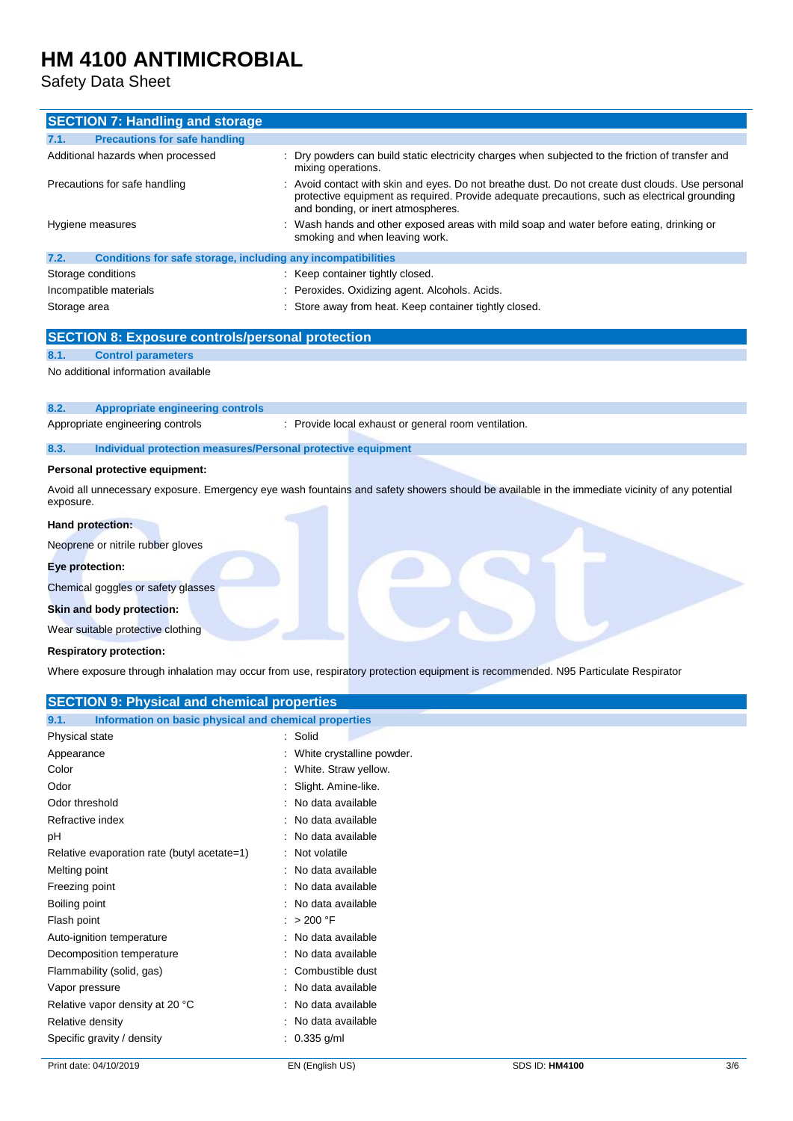Safety Data Sheet

| <b>SECTION 7: Handling and storage</b>                               |                                                                                                                                                                                                                                      |
|----------------------------------------------------------------------|--------------------------------------------------------------------------------------------------------------------------------------------------------------------------------------------------------------------------------------|
| <b>Precautions for safe handling</b><br>7.1.                         |                                                                                                                                                                                                                                      |
| Additional hazards when processed                                    | Dry powders can build static electricity charges when subjected to the friction of transfer and<br>mixing operations.                                                                                                                |
| Precautions for safe handling                                        | Avoid contact with skin and eyes. Do not breathe dust. Do not create dust clouds. Use personal<br>protective equipment as required. Provide adequate precautions, such as electrical grounding<br>and bonding, or inert atmospheres. |
| Hygiene measures                                                     | Wash hands and other exposed areas with mild soap and water before eating, drinking or<br>smoking and when leaving work.                                                                                                             |
| 7.2.<br>Conditions for safe storage, including any incompatibilities |                                                                                                                                                                                                                                      |
| Storage conditions                                                   | : Keep container tightly closed.                                                                                                                                                                                                     |
| Incompatible materials                                               | Peroxides. Oxidizing agent. Alcohols. Acids.                                                                                                                                                                                         |
| Storage area                                                         | : Store away from heat. Keep container tightly closed.                                                                                                                                                                               |
| <b>SECTION 8: Exposure controls/personal protection</b>              |                                                                                                                                                                                                                                      |
| <b>Control parameters</b><br>8.1.                                    |                                                                                                                                                                                                                                      |
| No additional information available                                  |                                                                                                                                                                                                                                      |
| 8.2.<br><b>Appropriate engineering controls</b>                      |                                                                                                                                                                                                                                      |
| Appropriate engineering controls                                     | : Provide local exhaust or general room ventilation.                                                                                                                                                                                 |
| 8.3.<br>Individual protection measures/Personal protective equipment |                                                                                                                                                                                                                                      |
| Personal protective equipment:                                       |                                                                                                                                                                                                                                      |
| exposure.                                                            | Avoid all unnecessary exposure. Emergency eye wash fountains and safety showers should be available in the immediate vicinity of any potential                                                                                       |
| Hand protection:                                                     |                                                                                                                                                                                                                                      |
| Neoprene or nitrile rubber gloves                                    |                                                                                                                                                                                                                                      |
| Eye protection:                                                      |                                                                                                                                                                                                                                      |
| Chemical goggles or safety glasses                                   |                                                                                                                                                                                                                                      |
| Skin and body protection:                                            |                                                                                                                                                                                                                                      |
| Wear suitable protective clothing                                    |                                                                                                                                                                                                                                      |
| <b>Respiratory protection:</b>                                       |                                                                                                                                                                                                                                      |
|                                                                      | Where exposure through inhalation may occur from use, respiratory protection equipment is recommended. N95 Particulate Respirator                                                                                                    |
| <b>SECTION 9: Physical and chemical properties</b>                   |                                                                                                                                                                                                                                      |
| Information on basic physical and chemical properties<br>9.1.        |                                                                                                                                                                                                                                      |
| Physical state                                                       | : Solid                                                                                                                                                                                                                              |
| Appearance                                                           | White crystalline powder.                                                                                                                                                                                                            |
| Color                                                                | White. Straw yellow.                                                                                                                                                                                                                 |
| Odor                                                                 | Slight. Amine-like.                                                                                                                                                                                                                  |
| Odor threshold                                                       | : No data available                                                                                                                                                                                                                  |
| Refractive index                                                     | : No data available                                                                                                                                                                                                                  |

| Refractive index                            | : No data available |
|---------------------------------------------|---------------------|
| рH                                          | : No data available |
| Relative evaporation rate (butyl acetate=1) | : Not volatile      |
| Melting point                               | : No data available |
| Freezing point                              | : No data available |
| Boiling point                               | : No data available |
| Flash point                                 | : $>200$ °F         |
| Auto-ignition temperature                   | : No data available |
| Decomposition temperature                   | : No data available |
| Flammability (solid, gas)                   | : Combustible dust  |
| Vapor pressure                              | : No data available |
| Relative vapor density at 20 °C             | : No data available |
| Relative density                            | : No data available |
| Specific gravity / density                  | $: 0.335$ g/ml      |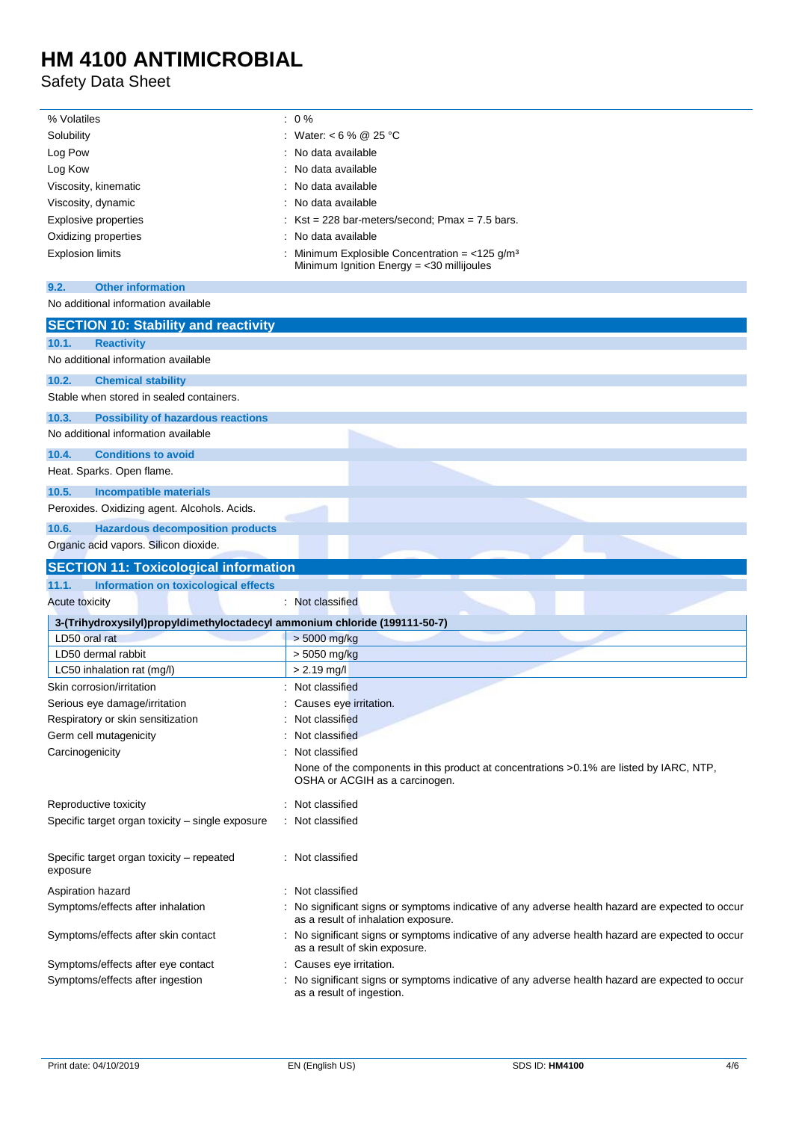Safety Data Sheet

| % Volatiles          | $: 0\%$                                                                                                    |
|----------------------|------------------------------------------------------------------------------------------------------------|
| Solubility           | : Water: < 6 % @ 25 °C                                                                                     |
| Log Pow              | : No data available                                                                                        |
| Log Kow              | : No data available                                                                                        |
| Viscosity, kinematic | : No data available                                                                                        |
| Viscosity, dynamic   | : No data available                                                                                        |
| Explosive properties | : $Kst = 228$ bar-meters/second; Pmax = 7.5 bars.                                                          |
| Oxidizing properties | : No data available                                                                                        |
| Explosion limits     | Minimum Explosible Concentration = $<$ 125 g/m <sup>3</sup><br>Minimum Ignition Energy $=$ <30 millijoules |

### **9.2. Other information**

### No additional information available

| <b>SECTION 10: Stability and reactivity</b>                                |                                                                                                                                         |
|----------------------------------------------------------------------------|-----------------------------------------------------------------------------------------------------------------------------------------|
| 10.1.<br><b>Reactivity</b>                                                 |                                                                                                                                         |
| No additional information available                                        |                                                                                                                                         |
| 10.2.<br><b>Chemical stability</b>                                         |                                                                                                                                         |
| Stable when stored in sealed containers.                                   |                                                                                                                                         |
| 10.3.<br><b>Possibility of hazardous reactions</b>                         |                                                                                                                                         |
| No additional information available                                        |                                                                                                                                         |
| <b>Conditions to avoid</b><br>10.4.                                        |                                                                                                                                         |
| Heat. Sparks. Open flame.                                                  |                                                                                                                                         |
| 10.5.<br><b>Incompatible materials</b>                                     |                                                                                                                                         |
| Peroxides. Oxidizing agent. Alcohols. Acids.                               |                                                                                                                                         |
| 10.6.<br><b>Hazardous decomposition products</b>                           |                                                                                                                                         |
| Organic acid vapors. Silicon dioxide.                                      |                                                                                                                                         |
| <b>SECTION 11: Toxicological information</b>                               |                                                                                                                                         |
| 11.1.<br>Information on toxicological effects                              |                                                                                                                                         |
| <b>Acute toxicity</b>                                                      | : Not classified                                                                                                                        |
| 3-(Trihydroxysilyl)propyldimethyloctadecyl ammonium chloride (199111-50-7) |                                                                                                                                         |
| LD50 oral rat                                                              | > 5000 mg/kg                                                                                                                            |
| LD50 dermal rabbit                                                         | > 5050 mg/kg                                                                                                                            |
| LC50 inhalation rat (mg/l)                                                 | $> 2.19$ mg/l                                                                                                                           |
| Skin corrosion/irritation                                                  | Not classified                                                                                                                          |
| Serious eye damage/irritation                                              | Causes eye irritation.                                                                                                                  |
| Respiratory or skin sensitization                                          | Not classified                                                                                                                          |
| Germ cell mutagenicity                                                     | Not classified                                                                                                                          |
| Carcinogenicity                                                            | Not classified                                                                                                                          |
|                                                                            | None of the components in this product at concentrations >0.1% are listed by IARC, NTP,<br>OSHA or ACGIH as a carcinogen.               |
| Reproductive toxicity                                                      | Not classified                                                                                                                          |
| Specific target organ toxicity – single exposure                           | Not classified                                                                                                                          |
| Specific target organ toxicity – repeated<br>exposure                      | Not classified                                                                                                                          |
| Aspiration hazard                                                          | Not classified                                                                                                                          |
| Symptoms/effects after inhalation                                          | : No significant signs or symptoms indicative of any adverse health hazard are expected to occur<br>as a result of inhalation exposure. |
| Symptoms/effects after skin contact                                        | No significant signs or symptoms indicative of any adverse health hazard are expected to occur<br>as a result of skin exposure.         |
| Symptoms/effects after eye contact                                         | Causes eye irritation.                                                                                                                  |
| Symptoms/effects after ingestion                                           | No significant signs or symptoms indicative of any adverse health hazard are expected to occur<br>as a result of ingestion.             |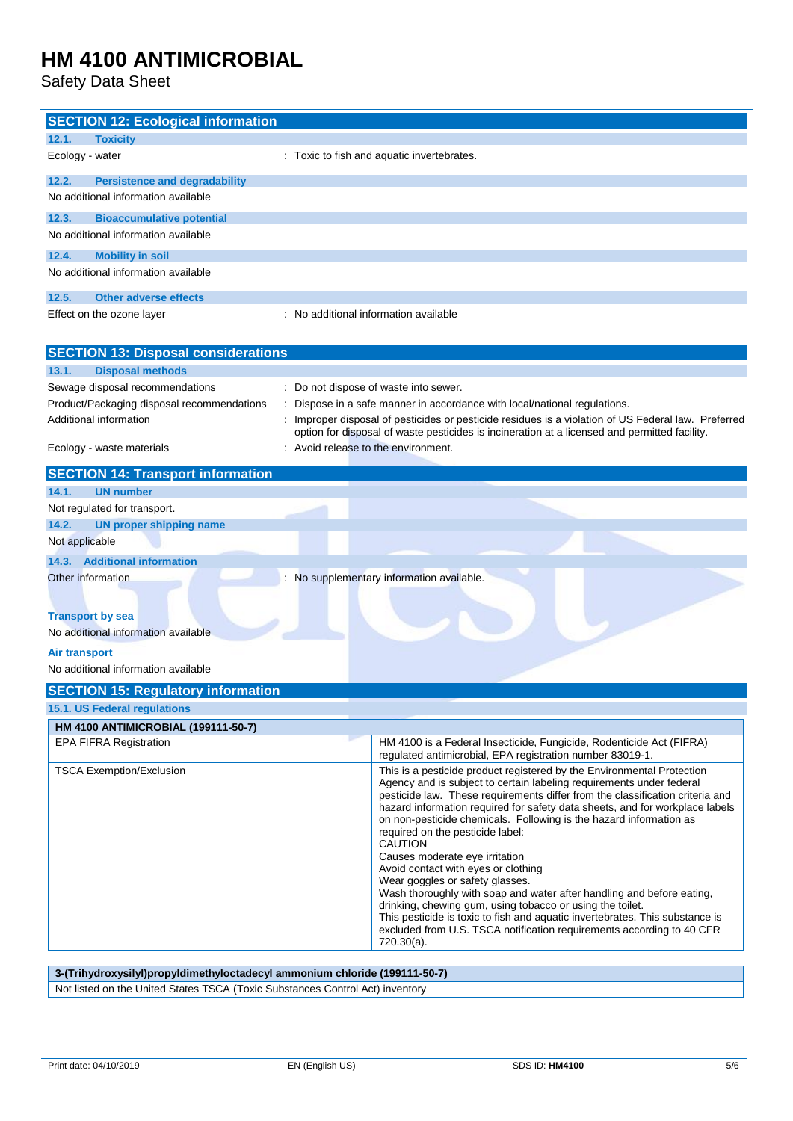Safety Data Sheet

| <b>SECTION 12: Ecological information</b>                                  |                                                                                                                                                       |  |
|----------------------------------------------------------------------------|-------------------------------------------------------------------------------------------------------------------------------------------------------|--|
| 12.1.<br><b>Toxicity</b>                                                   |                                                                                                                                                       |  |
| Ecology - water                                                            | : Toxic to fish and aquatic invertebrates.                                                                                                            |  |
| 12.2.<br><b>Persistence and degradability</b>                              |                                                                                                                                                       |  |
| No additional information available                                        |                                                                                                                                                       |  |
| 12.3.<br><b>Bioaccumulative potential</b>                                  |                                                                                                                                                       |  |
| No additional information available                                        |                                                                                                                                                       |  |
| 12.4.<br><b>Mobility in soil</b>                                           |                                                                                                                                                       |  |
| No additional information available                                        |                                                                                                                                                       |  |
|                                                                            |                                                                                                                                                       |  |
| 12.5.<br><b>Other adverse effects</b>                                      |                                                                                                                                                       |  |
| Effect on the ozone layer                                                  | No additional information available                                                                                                                   |  |
|                                                                            |                                                                                                                                                       |  |
| <b>SECTION 13: Disposal considerations</b>                                 |                                                                                                                                                       |  |
| 13.1.<br><b>Disposal methods</b>                                           |                                                                                                                                                       |  |
| Sewage disposal recommendations                                            | Do not dispose of waste into sewer.                                                                                                                   |  |
| Product/Packaging disposal recommendations                                 | Dispose in a safe manner in accordance with local/national regulations.                                                                               |  |
| Additional information                                                     | Improper disposal of pesticides or pesticide residues is a violation of US Federal law. Preferred                                                     |  |
|                                                                            | option for disposal of waste pesticides is incineration at a licensed and permitted facility.                                                         |  |
| Ecology - waste materials                                                  | Avoid release to the environment.                                                                                                                     |  |
| <b>SECTION 14: Transport information</b>                                   |                                                                                                                                                       |  |
| 14.1.<br><b>UN number</b>                                                  |                                                                                                                                                       |  |
| Not regulated for transport.                                               |                                                                                                                                                       |  |
| 14.2.<br><b>UN proper shipping name</b>                                    |                                                                                                                                                       |  |
| Not applicable                                                             |                                                                                                                                                       |  |
| 14.3. Additional information                                               |                                                                                                                                                       |  |
| Other information                                                          | No supplementary information available.                                                                                                               |  |
|                                                                            |                                                                                                                                                       |  |
| <b>Transport by sea</b>                                                    |                                                                                                                                                       |  |
| No additional information available                                        |                                                                                                                                                       |  |
| <b>Air transport</b>                                                       |                                                                                                                                                       |  |
| No additional information available                                        |                                                                                                                                                       |  |
| <b>SECTION 15: Regulatory information</b>                                  |                                                                                                                                                       |  |
| <b>15.1. US Federal regulations</b>                                        |                                                                                                                                                       |  |
|                                                                            |                                                                                                                                                       |  |
| HM 4100 ANTIMICROBIAL (199111-50-7)<br>EPA FIFRA Registration              | HM 4100 is a Federal Insecticide, Fungicide, Rodenticide Act (FIFRA)                                                                                  |  |
|                                                                            | regulated antimicrobial, EPA registration number 83019-1.                                                                                             |  |
| <b>TSCA Exemption/Exclusion</b>                                            | This is a pesticide product registered by the Environmental Protection                                                                                |  |
|                                                                            | Agency and is subject to certain labeling requirements under federal<br>pesticide law. These requirements differ from the classification criteria and |  |
|                                                                            | hazard information required for safety data sheets, and for workplace labels                                                                          |  |
|                                                                            | on non-pesticide chemicals. Following is the hazard information as                                                                                    |  |
|                                                                            | required on the pesticide label:<br><b>CAUTION</b>                                                                                                    |  |
|                                                                            | Causes moderate eye irritation                                                                                                                        |  |
|                                                                            | Avoid contact with eyes or clothing<br>Wear goggles or safety glasses.                                                                                |  |
|                                                                            | Wash thoroughly with soap and water after handling and before eating,                                                                                 |  |
| drinking, chewing gum, using tobacco or using the toilet.                  |                                                                                                                                                       |  |
|                                                                            | This pesticide is toxic to fish and aquatic invertebrates. This substance is<br>excluded from U.S. TSCA notification requirements according to 40 CFR |  |
|                                                                            | $720.30(a)$ .                                                                                                                                         |  |
|                                                                            |                                                                                                                                                       |  |
| 3-(Trihydroxysilyl)propyldimethyloctadecyl ammonium chloride (199111-50-7) |                                                                                                                                                       |  |

Not listed on the United States TSCA (Toxic Substances Control Act) inventory